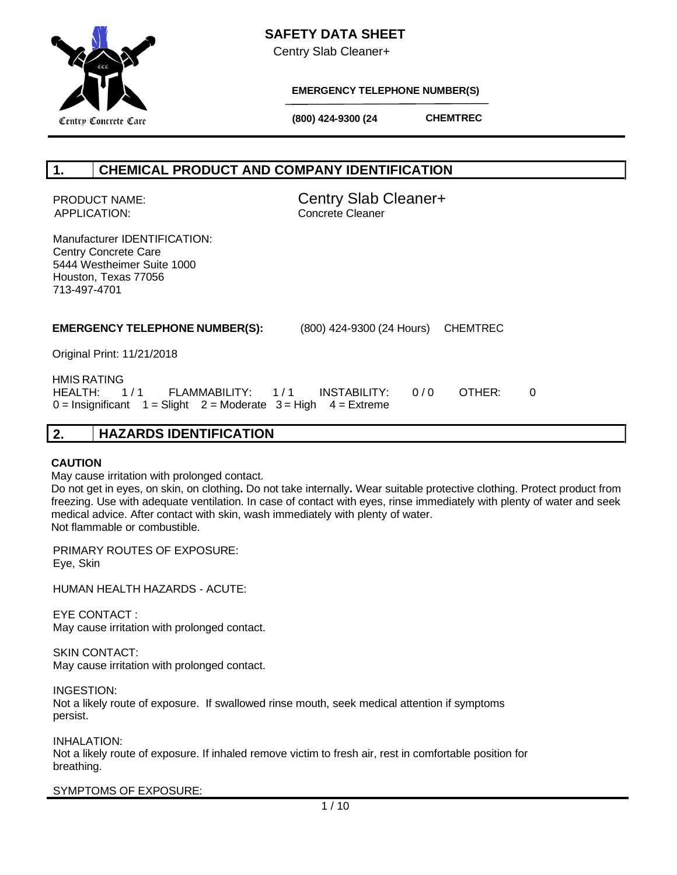

Centry Slab Cleaner+



**EMERGENCY TELEPHONE NUMBER(S)**

**CHEMTREC**

 **(800) 424-9300 (24 Hours)**

# **1. CHEMICAL PRODUCT AND COMPANY IDENTIFICATION**

APPLICATION: Concrete Cleaner

PRODUCT NAME: Centry Slab Cleaner+

Manufacturer IDENTIFICATION: Centry Concrete Care 5444 Westheimer Suite 1000 Houston, Texas 77056 713-497-4701

## **EMERGENCY TELEPHONE NUMBER(S):** (800) 424-9300 (24 Hours) CHEMTREC

Original Print: 11/21/2018

 HMIS RATING HEALTH: 1/1 FLAMMABILITY: 1/1 INSTABILITY: 0/0 OTHER: 0  $0 =$  Insignificant  $1 =$  Slight  $2 =$  Moderate  $3 =$  High  $4 =$  Extreme

# **2. HAZARDS IDENTIFICATION**

## **CAUTION**

May cause irritation with prolonged contact.

 Do not get in eyes, on skin, on clothing**.** Do not take internally**.** Wear suitable protective clothing. Protect product from freezing. Use with adequate ventilation. In case of contact with eyes, rinse immediately with plenty of water and seek medical advice. After contact with skin, wash immediately with plenty of water. Not flammable or combustible.

PRIMARY ROUTES OF EXPOSURE: Eye, Skin

HUMAN HEALTH HAZARDS - ACUTE:

EYE CONTACT : May cause irritation with prolonged contact.

SKIN CONTACT:

May cause irritation with prolonged contact.

INGESTION: Not a likely route of exposure. If swallowed rinse mouth, seek medical attention if symptoms persist.

INHALATION: Not a likely route of exposure. If inhaled remove victim to fresh air, rest in comfortable position for breathing.

SYMPTOMS OF EXPOSURE: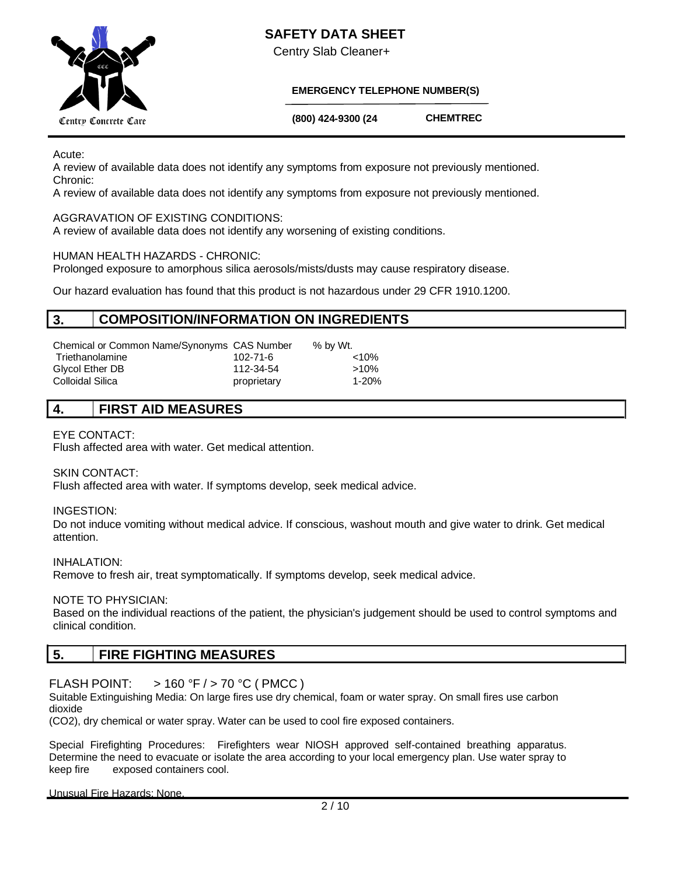



Centry Slab Cleaner+

## **EMERGENCY TELEPHONE NUMBER(S)**

 **(800) 424-9300 (24** 

**CHEMTREC**

Acute:

A review of available data does not identify any symptoms from exposure not previously mentioned. Chronic:

**Hours)**

A review of available data does not identify any symptoms from exposure not previously mentioned.

## AGGRAVATION OF EXISTING CONDITIONS:

A review of available data does not identify any worsening of existing conditions.

## HUMAN HEALTH HAZARDS - CHRONIC:

Prolonged exposure to amorphous silica aerosols/mists/dusts may cause respiratory disease.

Our hazard evaluation has found that this product is not hazardous under 29 CFR 1910.1200.

## **3. COMPOSITION/INFORMATION ON INGREDIENTS**

| Chemical or Common Name/Synonyms CAS Number |             | % by Wt. |
|---------------------------------------------|-------------|----------|
| Triethanolamine                             | 102-71-6    | $< 10\%$ |
| Glycol Ether DB                             | 112-34-54   | $>10\%$  |
| Colloidal Silica                            | proprietary | 1-20%    |

## **4. FIRST AID MEASURES**

## EYE CONTACT:

Flush affected area with water. Get medical attention.

SKIN CONTACT:

Flush affected area with water. If symptoms develop, seek medical advice.

INGESTION:

Do not induce vomiting without medical advice. If conscious, washout mouth and give water to drink. Get medical attention.

INHALATION: Remove to fresh air, treat symptomatically. If symptoms develop, seek medical advice.

NOTE TO PHYSICIAN:

Based on the individual reactions of the patient, the physician's judgement should be used to control symptoms and clinical condition.

## **5. FIRE FIGHTING MEASURES**

## FLASH POINT:  $> 160 \degree$ F / > 70 °C (PMCC)

Suitable Extinguishing Media: On large fires use dry chemical, foam or water spray. On small fires use carbon dioxide

(CO2), dry chemical or water spray. Water can be used to cool fire exposed containers.

Special Firefighting Procedures: Firefighters wear NIOSH approved self-contained breathing apparatus. Determine the need to evacuate or isolate the area according to your local emergency plan. Use water spray to keep fire exposed containers cool.

Unusual Fire Hazards: None.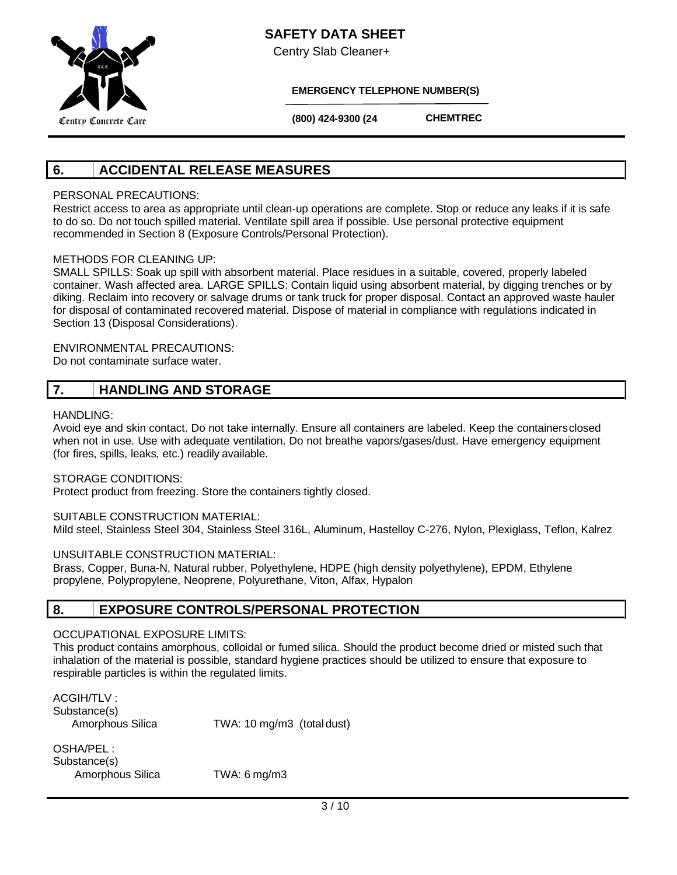

Centry Slab Cleaner+

**EMERGENCY TELEPHONE NUMBER(S)**

 **(800) 424-9300 (24 Hours)**

**CHEMTREC**

# **6. ACCIDENTAL RELEASE MEASURES**

## PERSONAL PRECAUTIONS:

Restrict access to area as appropriate until clean-up operations are complete. Stop or reduce any leaks if it is safe to do so. Do not touch spilled material. Ventilate spill area if possible. Use personal protective equipment recommended in Section 8 (Exposure Controls/Personal Protection).

## METHODS FOR CLEANING UP:

SMALL SPILLS: Soak up spill with absorbent material. Place residues in a suitable, covered, properly labeled container. Wash affected area. LARGE SPILLS: Contain liquid using absorbent material, by digging trenches or by diking. Reclaim into recovery or salvage drums or tank truck for proper disposal. Contact an approved waste hauler for disposal of contaminated recovered material. Dispose of material in compliance with regulations indicated in Section 13 (Disposal Considerations).

#### ENVIRONMENTAL PRECAUTIONS: Do not contaminate surface water.

# **7. HANDLING AND STORAGE**

## HANDLING:

Avoid eye and skin contact. Do not take internally. Ensure all containers are labeled. Keep the containersclosed when not in use. Use with adequate ventilation. Do not breathe vapors/gases/dust. Have emergency equipment (for fires, spills, leaks, etc.) readily available.

STORAGE CONDITIONS:

Protect product from freezing. Store the containers tightly closed.

#### SUITABLE CONSTRUCTION MATERIAL:

Mild steel, Stainless Steel 304, Stainless Steel 316L, Aluminum, Hastelloy C-276, Nylon, Plexiglass, Teflon, Kalrez

#### UNSUITABLE CONSTRUCTION MATERIAL:

Brass, Copper, Buna-N, Natural rubber, Polyethylene, HDPE (high density polyethylene), EPDM, Ethylene propylene, Polypropylene, Neoprene, Polyurethane, Viton, Alfax, Hypalon

## **8. EXPOSURE CONTROLS/PERSONAL PROTECTION**

## OCCUPATIONAL EXPOSURE LIMITS:

This product contains amorphous, colloidal or fumed silica. Should the product become dried or misted such that inhalation of the material is possible, standard hygiene practices should be utilized to ensure that exposure to respirable particles is within the regulated limits.

ACGIH/TI V · Substance(s)

Amorphous Silica TWA: 10 mg/m3 (total dust)

OSHA/PEL : Substance(s) Amorphous Silica TWA: 6 mg/m3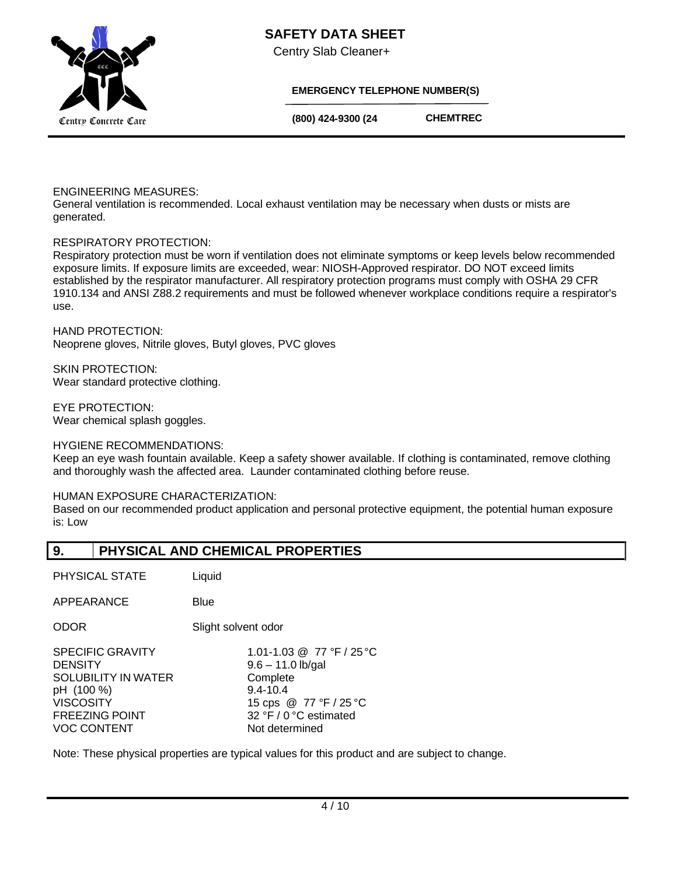# **SAFETY DATA SHEET**



Centry Slab Cleaner+

## **EMERGENCY TELEPHONE NUMBER(S)**

 **(800) 424-9300 (24** 

**CHEMTREC**

### ENGINEERING MEASURES:

General ventilation is recommended. Local exhaust ventilation may be necessary when dusts or mists are generated.

**Hours)**

## RESPIRATORY PROTECTION:

Respiratory protection must be worn if ventilation does not eliminate symptoms or keep levels below recommended exposure limits. If exposure limits are exceeded, wear: NIOSH-Approved respirator. DO NOT exceed limits established by the respirator manufacturer. All respiratory protection programs must comply with OSHA 29 CFR 1910.134 and ANSI Z88.2 requirements and must be followed whenever workplace conditions require a respirator's use.

HAND PROTECTION: Neoprene gloves, Nitrile gloves, Butyl gloves, PVC gloves

SKIN PROTECTION: Wear standard protective clothing.

EYE PROTECTION: Wear chemical splash goggles.

#### HYGIENE RECOMMENDATIONS:

Keep an eye wash fountain available. Keep a safety shower available. If clothing is contaminated, remove clothing and thoroughly wash the affected area. Launder contaminated clothing before reuse.

## HUMAN EXPOSURE CHARACTERIZATION:

Based on our recommended product application and personal protective equipment, the potential human exposure is: Low

## **9. PHYSICAL AND CHEMICAL PROPERTIES**

PHYSICAL STATE Liquid

APPEARANCE Blue

ODOR Slight solvent odor

| 1.01-1.03 @ 77 °F / 25 °C |
|---------------------------|
| $9.6 - 11.0$ lb/gal       |
| Complete                  |
| $9.4 - 10.4$              |
| 15 cps @ 77 °F / 25 °C    |
| 32 °F / 0 °C estimated    |
| Not determined            |
|                           |

Note: These physical properties are typical values for this product and are subject to change.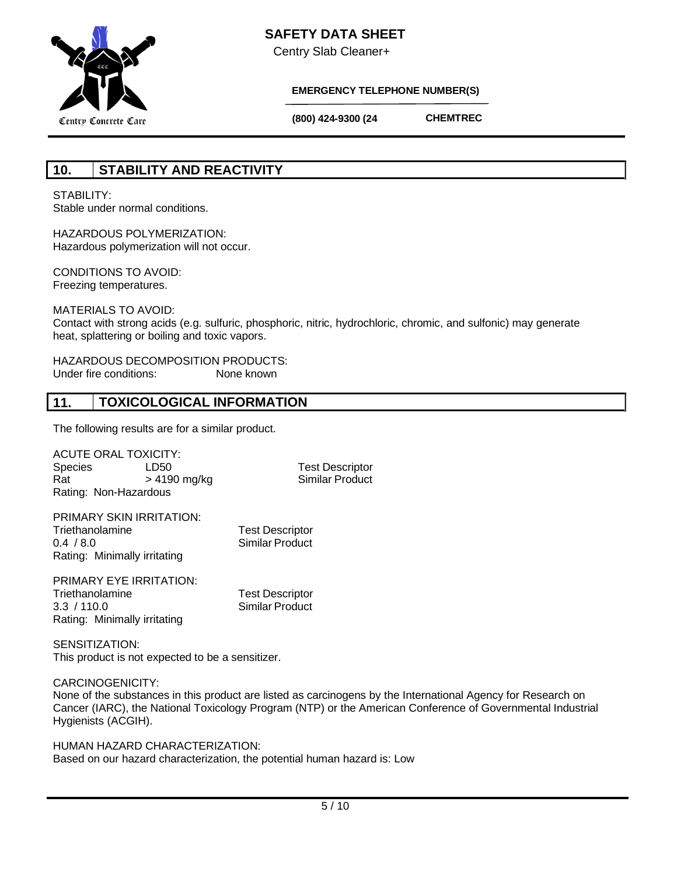

Centry Slab Cleaner+

**Hours)**



## **EMERGENCY TELEPHONE NUMBER(S)**

 **(800) 424-9300 (24** 

**CHEMTREC**

# **10. STABILITY AND REACTIVITY**

STABILITY: Stable under normal conditions.

HAZARDOUS POLYMERIZATION: Hazardous polymerization will not occur.

CONDITIONS TO AVOID: Freezing temperatures.

MATERIALS TO AVOID: Contact with strong acids (e.g. sulfuric, phosphoric, nitric, hydrochloric, chromic, and sulfonic) may generate heat, splattering or boiling and toxic vapors.

HAZARDOUS DECOMPOSITION PRODUCTS: Under fire conditions: None known

# **11. TOXICOLOGICAL INFORMATION**

The following results are for a similar product.

ACUTE ORAL TOXICITY:<br>Species LD50 LD50 Test Descriptor Rat  $> 4190$  mg/kg Similar Product Rating: Non-Hazardous

| PRIMARY SKIN IRRITATION:     |                        |
|------------------------------|------------------------|
| Triethanolamine              | <b>Test Descriptor</b> |
| 0.4 / 8.0                    | <b>Similar Product</b> |
| Rating: Minimally irritating |                        |

PRIMARY EYE IRRITATION: Triethanolamine Test Descriptor 3.3 / 110.0 Similar Product Rating: Minimally irritating

SENSITIZATION: This product is not expected to be a sensitizer.

CARCINOGENICITY:

None of the substances in this product are listed as carcinogens by the International Agency for Research on Cancer (IARC), the National Toxicology Program (NTP) or the American Conference of Governmental Industrial Hygienists (ACGIH).

HUMAN HAZARD CHARACTERIZATION: Based on our hazard characterization, the potential human hazard is: Low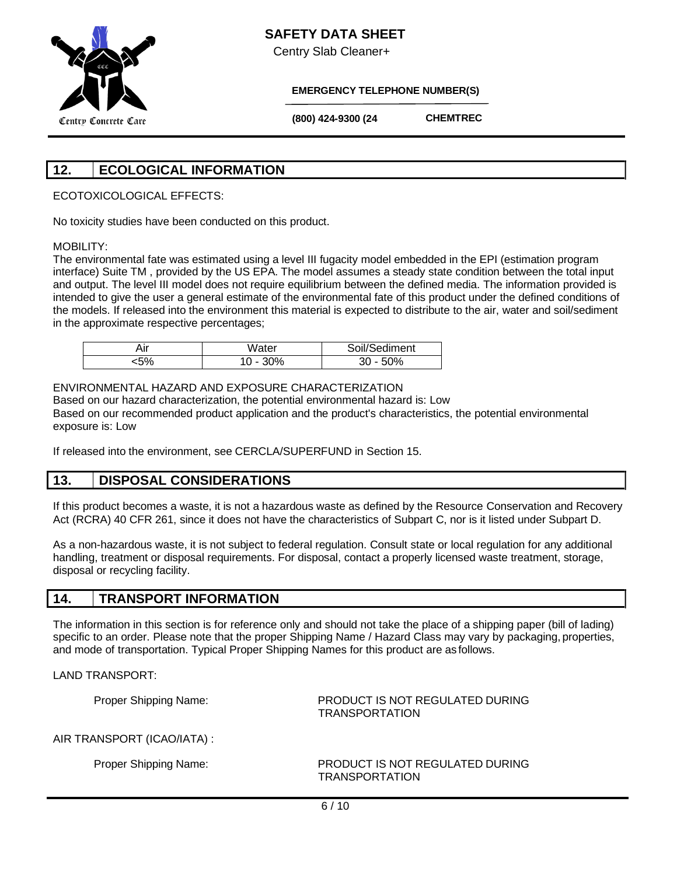

Centry Slab Cleaner+

**Hours)**

**EMERGENCY TELEPHONE NUMBER(S)**

 **(800) 424-9300 (24** 

**CHEMTREC**

# **12. ECOLOGICAL INFORMATION**

ECOTOXICOLOGICAL EFFECTS:

No toxicity studies have been conducted on this product.

## MOBILITY:

The environmental fate was estimated using a level III fugacity model embedded in the EPI (estimation program interface) Suite TM , provided by the US EPA. The model assumes a steady state condition between the total input and output. The level III model does not require equilibrium between the defined media. The information provided is intended to give the user a general estimate of the environmental fate of this product under the defined conditions of the models. If released into the environment this material is expected to distribute to the air, water and soil/sediment in the approximate respective percentages;

| ۸ır         | Water | Sediment |
|-------------|-------|----------|
| - ^ ′<br>υ, | 0%    | 0%<br>30 |

## ENVIRONMENTAL HAZARD AND EXPOSURE CHARACTERIZATION

Based on our hazard characterization, the potential environmental hazard is: Low Based on our recommended product application and the product's characteristics, the potential environmental exposure is: Low

If released into the environment, see CERCLA/SUPERFUND in Section 15.

## **13. DISPOSAL CONSIDERATIONS**

If this product becomes a waste, it is not a hazardous waste as defined by the Resource Conservation and Recovery Act (RCRA) 40 CFR 261, since it does not have the characteristics of Subpart C, nor is it listed under Subpart D.

As a non-hazardous waste, it is not subject to federal regulation. Consult state or local regulation for any additional handling, treatment or disposal requirements. For disposal, contact a properly licensed waste treatment, storage, disposal or recycling facility.

## **14. TRANSPORT INFORMATION**

The information in this section is for reference only and should not take the place of a shipping paper (bill of lading) specific to an order. Please note that the proper Shipping Name / Hazard Class may vary by packaging, properties, and mode of transportation. Typical Proper Shipping Names for this product are as follows.

LAND TRANSPORT:

Proper Shipping Name: PRODUCT IS NOT REGULATED DURING TRANSPORTATION

AIR TRANSPORT (ICAO/IATA) :

Proper Shipping Name: PRODUCT IS NOT REGULATED DURING TRANSPORTATION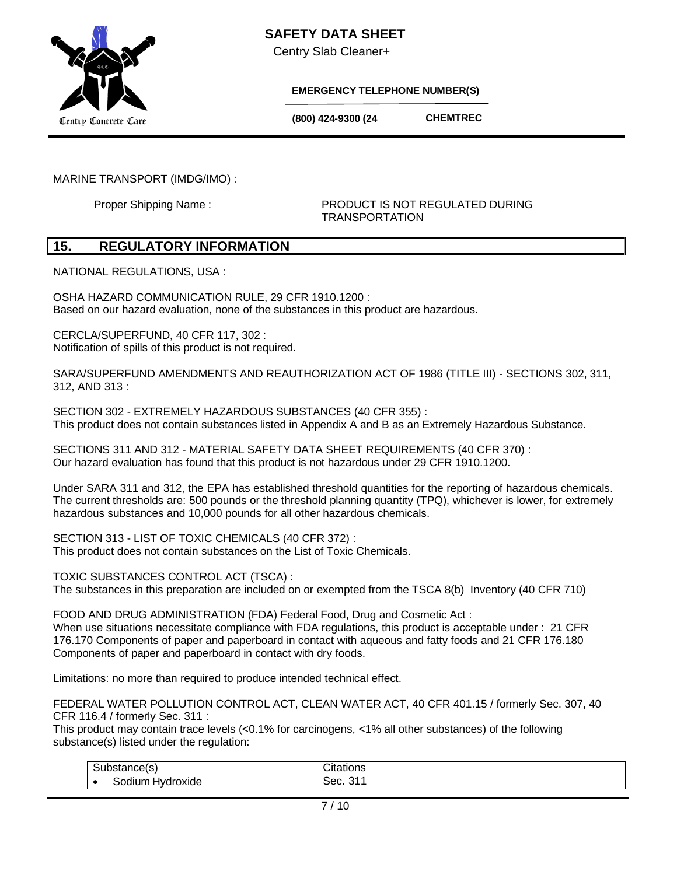

Centry Slab Cleaner+

**Hours)**

**EMERGENCY TELEPHONE NUMBER(S)**

 **(800) 424-9300 (24** 

**CHEMTREC**

MARINE TRANSPORT (IMDG/IMO) :

Proper Shipping Name : **PRODUCT IS NOT REGULATED DURING** TRANSPORTATION

## **15. REGULATORY INFORMATION**

NATIONAL REGULATIONS, USA :

OSHA HAZARD COMMUNICATION RULE, 29 CFR 1910.1200 : Based on our hazard evaluation, none of the substances in this product are hazardous.

CERCLA/SUPERFUND, 40 CFR 117, 302 : Notification of spills of this product is not required.

SARA/SUPERFUND AMENDMENTS AND REAUTHORIZATION ACT OF 1986 (TITLE III) - SECTIONS 302, 311, 312, AND 313 :

SECTION 302 - EXTREMELY HAZARDOUS SUBSTANCES (40 CFR 355) : This product does not contain substances listed in Appendix A and B as an Extremely Hazardous Substance.

SECTIONS 311 AND 312 - MATERIAL SAFETY DATA SHEET REQUIREMENTS (40 CFR 370) : Our hazard evaluation has found that this product is not hazardous under 29 CFR 1910.1200.

Under SARA 311 and 312, the EPA has established threshold quantities for the reporting of hazardous chemicals. The current thresholds are: 500 pounds or the threshold planning quantity (TPQ), whichever is lower, for extremely hazardous substances and 10,000 pounds for all other hazardous chemicals.

SECTION 313 - LIST OF TOXIC CHEMICALS (40 CFR 372) : This product does not contain substances on the List of Toxic Chemicals.

TOXIC SUBSTANCES CONTROL ACT (TSCA) : The substances in this preparation are included on or exempted from the TSCA 8(b) Inventory (40 CFR 710)

FOOD AND DRUG ADMINISTRATION (FDA) Federal Food, Drug and Cosmetic Act : When use situations necessitate compliance with FDA regulations, this product is acceptable under : 21 CFR 176.170 Components of paper and paperboard in contact with aqueous and fatty foods and 21 CFR 176.180 Components of paper and paperboard in contact with dry foods.

Limitations: no more than required to produce intended technical effect.

FEDERAL WATER POLLUTION CONTROL ACT, CLEAN WATER ACT, 40 CFR 401.15 / formerly Sec. 307, 40 CFR 116.4 / formerly Sec. 311 :

This product may contain trace levels (<0.1% for carcinogens, <1% all other substances) of the following substance(s) listed under the regulation:

| ------                                           | .                    |
|--------------------------------------------------|----------------------|
| sianueis.                                        | auvria               |
| <br>-<br>-odium<br>$N^{\prime}$<br>OXIO⊟<br>JIUI | $\sim$<br>∹≏≏<br>35U |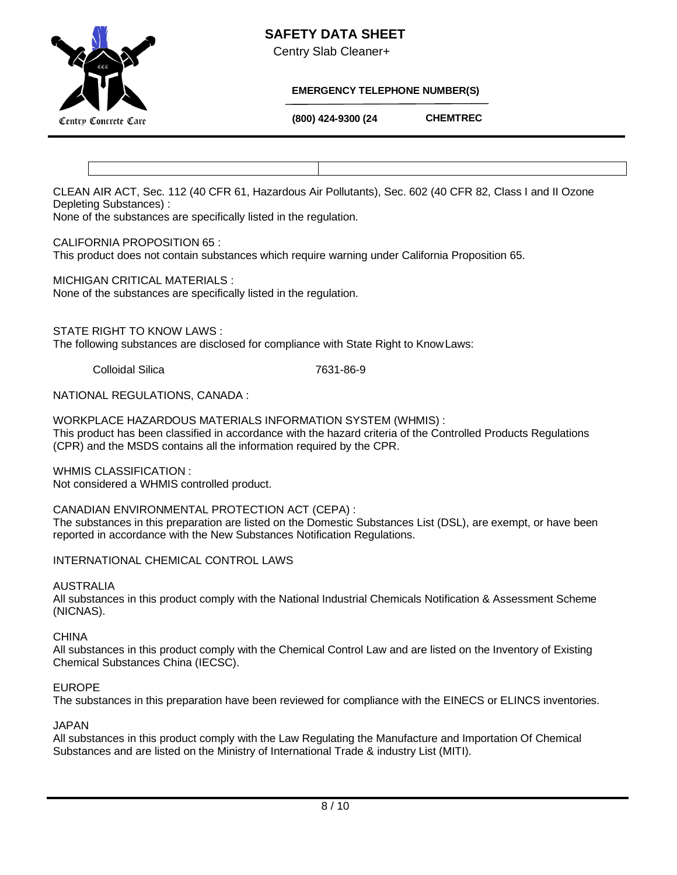## **SAFETY DATA SHEET**



Centry Slab Cleaner+

## **EMERGENCY TELEPHONE NUMBER(S)**

 **(800) 424-9300 (24** 

**CHEMTREC**

CLEAN AIR ACT, Sec. 112 (40 CFR 61, Hazardous Air Pollutants), Sec. 602 (40 CFR 82, Class I and II Ozone Depleting Substances) :

None of the substances are specifically listed in the regulation.

## CALIFORNIA PROPOSITION 65 :

This product does not contain substances which require warning under California Proposition 65.

**Hours)**

MICHIGAN CRITICAL MATERIALS :

None of the substances are specifically listed in the regulation.

STATE RIGHT TO KNOW LAWS :

The following substances are disclosed for compliance with State Right to KnowLaws:

Colloidal Silica 7631-86-9

NATIONAL REGULATIONS, CANADA :

WORKPLACE HAZARDOUS MATERIALS INFORMATION SYSTEM (WHMIS) : This product has been classified in accordance with the hazard criteria of the Controlled Products Regulations (CPR) and the MSDS contains all the information required by the CPR.

WHMIS CLASSIFICATION : Not considered a WHMIS controlled product.

CANADIAN ENVIRONMENTAL PROTECTION ACT (CEPA) :

The substances in this preparation are listed on the Domestic Substances List (DSL), are exempt, or have been reported in accordance with the New Substances Notification Regulations.

INTERNATIONAL CHEMICAL CONTROL LAWS

## AUSTRALIA

All substances in this product comply with the National Industrial Chemicals Notification & Assessment Scheme (NICNAS).

**CHINA** 

All substances in this product comply with the Chemical Control Law and are listed on the Inventory of Existing Chemical Substances China (IECSC).

## EUROPE

The substances in this preparation have been reviewed for compliance with the EINECS or ELINCS inventories.

## JAPAN

All substances in this product comply with the Law Regulating the Manufacture and Importation Of Chemical Substances and are listed on the Ministry of International Trade & industry List (MITI).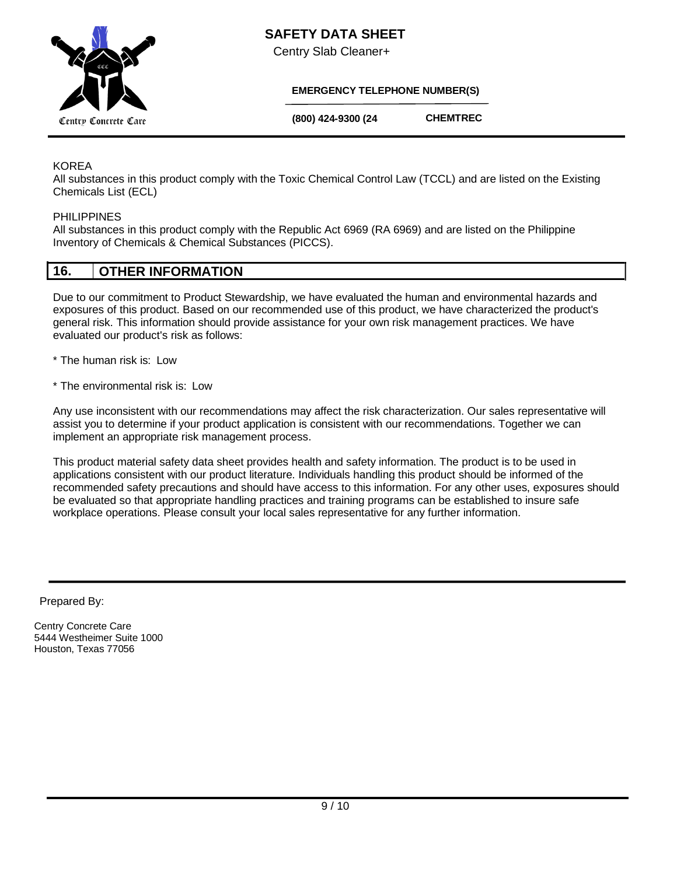

Centry Slab Cleaner+

## **EMERGENCY TELEPHONE NUMBER(S)**

 **(800) 424-9300 (24** 

**CHEMTREC**

## KOREA

All substances in this product comply with the Toxic Chemical Control Law (TCCL) and are listed on the Existing Chemicals List (ECL)

## PHILIPPINES

All substances in this product comply with the Republic Act 6969 (RA 6969) and are listed on the Philippine Inventory of Chemicals & Chemical Substances (PICCS).

**Hours)**

# **16. OTHER INFORMATION**

Due to our commitment to Product Stewardship, we have evaluated the human and environmental hazards and exposures of this product. Based on our recommended use of this product, we have characterized the product's general risk. This information should provide assistance for your own risk management practices. We have evaluated our product's risk as follows:

- \* The human risk is: Low
- \* The environmental risk is: Low

Any use inconsistent with our recommendations may affect the risk characterization. Our sales representative will assist you to determine if your product application is consistent with our recommendations. Together we can implement an appropriate risk management process.

This product material safety data sheet provides health and safety information. The product is to be used in applications consistent with our product literature. Individuals handling this product should be informed of the recommended safety precautions and should have access to this information. For any other uses, exposures should be evaluated so that appropriate handling practices and training programs can be established to insure safe workplace operations. Please consult your local sales representative for any further information.

Prepared By:

Centry Concrete Care 5444 Westheimer Suite 1000 Houston, Texas 77056